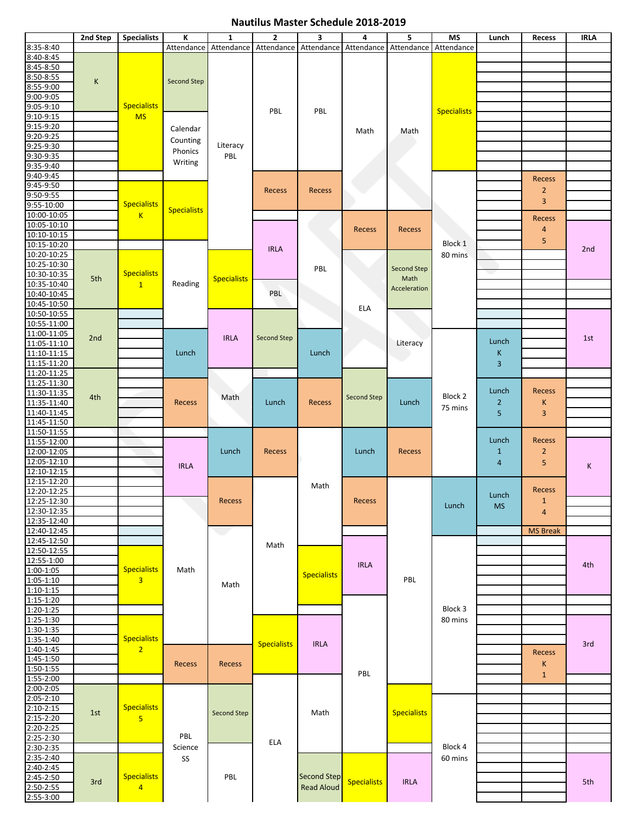## **Nautilus Master Schedule 2018-2019**

|                              | 2nd Step | <b>Specialists</b>                   | К                  | $\mathbf{1}$       | 2                  | 3                     | 4                  | 5                  | <b>MS</b>          | Lunch          | Recess          | <b>IRLA</b> |
|------------------------------|----------|--------------------------------------|--------------------|--------------------|--------------------|-----------------------|--------------------|--------------------|--------------------|----------------|-----------------|-------------|
| 8:35-8:40                    |          |                                      | Attendance         | Attendance         |                    | Attendance Attendance | Attendance         | Attendance         | Attendance         |                |                 |             |
| 8:40-8:45                    |          |                                      |                    |                    |                    |                       |                    |                    |                    |                |                 |             |
| 8:45-8:50                    |          |                                      |                    |                    |                    |                       |                    |                    |                    |                |                 |             |
| 8:50-8:55                    | K        |                                      | <b>Second Step</b> |                    |                    |                       |                    |                    |                    |                |                 |             |
| 8:55-9:00                    |          |                                      |                    |                    |                    |                       |                    |                    |                    |                |                 |             |
| 9:00-9:05                    |          |                                      |                    |                    |                    |                       |                    |                    |                    |                |                 |             |
| 9:05-9:10                    |          | <b>Specialists</b>                   |                    |                    | PBL                | PBL                   |                    |                    | <b>Specialists</b> |                |                 |             |
| $9:10 - 9:15$                |          | <b>MS</b>                            |                    |                    |                    |                       |                    |                    |                    |                |                 |             |
| 9:15-9:20<br>9:20-9:25       |          |                                      | Calendar           |                    |                    |                       | Math               | Math               |                    |                |                 |             |
| 9:25-9:30                    |          |                                      | Counting           | Literacy           |                    |                       |                    |                    |                    |                |                 |             |
| 9:30-9:35                    |          |                                      | Phonics<br>Writing | PBL                |                    |                       |                    |                    |                    |                |                 |             |
| 9:35-9:40                    |          |                                      |                    |                    |                    |                       |                    |                    |                    |                |                 |             |
| 9:40-9:45                    |          |                                      |                    |                    |                    |                       |                    |                    |                    |                |                 |             |
| 9:45-9:50                    |          |                                      |                    |                    |                    |                       |                    |                    |                    |                | Recess          |             |
| 9:50-9:55                    |          |                                      |                    |                    | Recess             | <b>Recess</b>         |                    |                    |                    |                | $\overline{2}$  |             |
| $9:55 - 10:00$               |          | <b>Specialists</b>                   |                    |                    |                    |                       |                    |                    |                    |                | $\overline{3}$  |             |
| 10:00-10:05                  |          | K                                    | <b>Specialists</b> |                    |                    |                       |                    |                    |                    |                |                 |             |
| 10:05-10:10                  |          |                                      |                    |                    |                    |                       |                    |                    |                    |                | <b>Recess</b>   |             |
| 10:10-10:15                  |          |                                      |                    |                    |                    |                       | <b>Recess</b>      | Recess             |                    |                | 4               |             |
| 10:15-10:20                  |          |                                      |                    |                    |                    |                       |                    |                    | Block 1            |                | 5               |             |
| 10:20-10:25                  |          |                                      |                    |                    | <b>IRLA</b>        |                       |                    |                    | 80 mins            |                |                 | 2nd         |
| 10:25-10:30                  |          |                                      |                    |                    |                    |                       |                    |                    |                    |                |                 |             |
| 10:30-10:35                  |          | <b>Specialists</b>                   |                    |                    |                    | PBL                   |                    | <b>Second Step</b> |                    |                |                 |             |
| 10:35-10:40                  | 5th      | $\mathbf{1}$                         | Reading            | <b>Specialists</b> |                    |                       |                    | Math               |                    |                |                 |             |
| 10:40-10:45                  |          |                                      |                    |                    | PBL                |                       |                    | Acceleration       |                    |                |                 |             |
| 10:45-10:50                  |          |                                      |                    |                    |                    |                       |                    |                    |                    |                |                 |             |
| 10:50-10:55                  |          |                                      |                    |                    |                    |                       | <b>ELA</b>         |                    |                    |                |                 |             |
| 10:55-11:00                  |          |                                      |                    |                    |                    |                       |                    |                    |                    |                |                 |             |
| 11:00-11:05                  | 2nd      |                                      |                    | <b>IRLA</b>        | Second Step        |                       |                    |                    |                    |                |                 |             |
| 11:05-11:10                  |          |                                      |                    |                    |                    |                       |                    | Literacy           |                    | Lunch          |                 | 1st         |
| 11:10-11:15                  |          |                                      | Lunch              |                    |                    | Lunch                 |                    |                    |                    | Κ              |                 |             |
| 11:15-11:20                  |          |                                      |                    |                    |                    |                       |                    |                    |                    | 3              |                 |             |
| 11:20-11:25                  |          |                                      |                    |                    |                    |                       |                    |                    |                    |                |                 |             |
| 11:25-11:30                  |          |                                      |                    | Math               |                    |                       | <b>Second Step</b> |                    | Block 2            |                | <b>Recess</b>   |             |
| 11:30-11:35                  | 4th      |                                      |                    |                    |                    |                       |                    |                    |                    | Lunch          |                 |             |
| 11:35-11:40                  |          |                                      | <b>Recess</b>      |                    | Lunch              | Recess                |                    | Lunch              | 75 mins            | $\overline{2}$ | К               |             |
| 11:40-11:45                  |          |                                      |                    |                    |                    |                       |                    |                    |                    | 5              | $\overline{3}$  |             |
| 11:45-11:50                  |          |                                      |                    |                    |                    |                       |                    |                    |                    |                |                 |             |
| 11:50-11:55                  |          |                                      |                    |                    |                    |                       |                    |                    |                    |                |                 |             |
| 11:55-12:00                  |          |                                      |                    |                    |                    |                       |                    |                    |                    | Lunch          | <b>Recess</b>   |             |
| 12:00-12:05                  |          |                                      |                    | Lunch              | Recess             |                       | Lunch              | <b>Recess</b>      |                    | $\mathbf{1}$   | $\overline{2}$  |             |
| 12:05-12:10                  |          |                                      | <b>IRLA</b>        |                    |                    |                       |                    |                    |                    | $\overline{4}$ | 5               | K           |
| 12:10-12:15                  |          |                                      |                    |                    |                    |                       |                    |                    |                    |                |                 |             |
| 12:15-12:20                  |          |                                      |                    |                    |                    | Math                  |                    |                    |                    |                |                 |             |
| 12:20-12:25                  |          |                                      |                    |                    |                    |                       |                    |                    |                    | Lunch          | Recess          |             |
| 12:25-12:30                  |          |                                      |                    | Recess             |                    |                       | Recess             |                    | Lunch              | <b>MS</b>      | $\mathbf{1}$    |             |
| 12:30-12:35                  |          |                                      |                    |                    |                    |                       |                    |                    |                    |                | $\overline{4}$  |             |
| 12:35-12:40                  |          |                                      |                    |                    |                    |                       |                    |                    |                    |                |                 |             |
| 12:40-12:45                  |          |                                      |                    | o a                |                    |                       |                    |                    |                    |                | <b>MS Break</b> |             |
| 12:45-12:50                  |          |                                      |                    |                    | Math               |                       |                    |                    |                    |                |                 |             |
| 12:50-12:55                  |          |                                      |                    |                    |                    |                       |                    |                    |                    |                |                 |             |
| 12:55-1:00                   |          | <b>Specialists</b><br>$\overline{3}$ | Math               |                    |                    |                       | <b>IRLA</b>        |                    |                    |                |                 | 4th         |
| $1:00-1:05$<br>$1:05 - 1:10$ |          |                                      |                    |                    |                    | <b>Specialists</b>    |                    | PBL                |                    |                |                 |             |
| $1:10-1:15$                  |          |                                      |                    | Math               |                    |                       |                    |                    |                    |                |                 |             |
| 1:15-1:20                    |          |                                      |                    |                    |                    |                       |                    |                    |                    |                |                 |             |
| 1:20-1:25                    |          |                                      |                    |                    |                    |                       |                    |                    | Block 3            |                |                 |             |
| 1:25-1:30                    |          |                                      |                    |                    |                    |                       |                    |                    | 80 mins            |                |                 |             |
| $1:30-1:35$                  |          |                                      |                    |                    |                    |                       |                    |                    |                    |                |                 |             |
| 1:35-1:40                    |          | <b>Specialists</b>                   |                    |                    |                    |                       |                    |                    |                    |                |                 |             |
| 1:40-1:45                    |          | $\overline{2}$                       |                    |                    | <b>Specialists</b> | <b>IRLA</b>           |                    |                    |                    |                |                 | 3rd         |
| $1:45 - 1:50$                |          |                                      |                    |                    |                    |                       |                    |                    |                    |                | Recess          |             |
| $1:50-1:55$                  |          |                                      | Recess             | Recess             |                    |                       |                    |                    |                    |                | К               |             |
| 1:55-2:00                    |          |                                      |                    |                    |                    |                       | PBL                |                    |                    |                | $\mathbf{1}$    |             |
| 2:00-2:05                    |          |                                      |                    |                    |                    |                       |                    |                    |                    |                |                 |             |
| $2:05 - 2:10$                |          |                                      |                    |                    |                    |                       |                    |                    |                    |                |                 |             |
| $2:10 - 2:15$                |          | <b>Specialists</b>                   |                    |                    |                    |                       |                    |                    |                    |                |                 |             |
| $2:15-2:20$                  | 1st      | 5 <sup>5</sup>                       |                    | Second Step        |                    | Math                  |                    | <b>Specialists</b> |                    |                |                 |             |
| $2:20 - 2:25$                |          |                                      |                    |                    |                    |                       |                    |                    |                    |                |                 |             |
| 2:25-2:30                    |          |                                      | PBL                |                    |                    |                       |                    |                    |                    |                |                 |             |
| 2:30-2:35                    |          |                                      | Science            |                    | <b>ELA</b>         |                       |                    |                    | Block 4            |                |                 |             |
| 2:35-2:40                    |          |                                      | SS                 |                    |                    |                       |                    |                    | 60 mins            |                |                 |             |
| 2:40-2:45                    |          |                                      |                    |                    |                    |                       |                    |                    |                    |                |                 |             |
| 2:45-2:50                    |          | <b>Specialists</b>                   |                    | PBL                |                    | <b>Second Step</b>    |                    |                    |                    |                |                 |             |
| 2:50-2:55                    | 3rd      | $\overline{4}$                       |                    |                    |                    | <b>Read Aloud</b>     | <b>Specialists</b> | <b>IRLA</b>        |                    |                |                 | 5th         |
| $2:55 - 3:00$                |          |                                      |                    |                    |                    |                       |                    |                    |                    |                |                 |             |